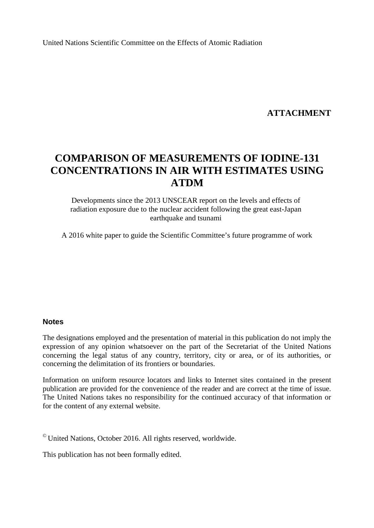United Nations Scientific Committee on the Effects of Atomic Radiation

### **ATTACHMENT**

# **COMPARISON OF MEASUREMENTS OF IODINE-131 CONCENTRATIONS IN AIR WITH ESTIMATES USING ATDM**

Developments since the 2013 UNSCEAR report on the levels and effects of radiation exposure due to the nuclear accident following the great east-Japan earthquake and tsunami

A 2016 white paper to guide the Scientific Committee's future programme of work

#### **Notes**

The designations employed and the presentation of material in this publication do not imply the expression of any opinion whatsoever on the part of the Secretariat of the United Nations concerning the legal status of any country, territory, city or area, or of its authorities, or concerning the delimitation of its frontiers or boundaries.

Information on uniform resource locators and links to Internet sites contained in the present publication are provided for the convenience of the reader and are correct at the time of issue. The United Nations takes no responsibility for the continued accuracy of that information or for the content of any external website.

© United Nations, October 2016. All rights reserved, worldwide.

This publication has not been formally edited.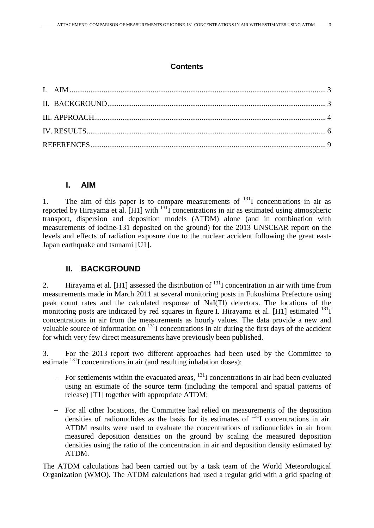### **Contents**

### <span id="page-2-0"></span>**I. AIM**

1. The aim of this paper is to compare measurements of  $131$  concentrations in air as reported by Hirayama et al. [H1] with 131I concentrations in air as estimated using atmospheric transport, dispersion and deposition models (ATDM) alone (and in combination with measurements of iodine-131 deposited on the ground) for the 2013 UNSCEAR report on the levels and effects of radiation exposure due to the nuclear accident following the great east-Japan earthquake and tsunami [U1].

### <span id="page-2-1"></span>**II. BACKGROUND**

2. Hirayama et al. [H1] assessed the distribution of  $^{131}$ I concentration in air with time from measurements made in March 2011 at several monitoring posts in Fukushima Prefecture using peak count rates and the calculated response of NaI(Tl) detectors. The locations of the monitoring posts are indicated by red squares in figure I. Hirayama et al. [H1] estimated  $^{131}I$ concentrations in air from the measurements as hourly values. The data provide a new and valuable source of information on <sup>131</sup>I concentrations in air during the first days of the accident for which very few direct measurements have previously been published.

3. For the 2013 report two different approaches had been used by the Committee to estimate <sup>131</sup>I concentrations in air (and resulting inhalation doses):

- − For settlements within the evacuated areas, 131I concentrations in air had been evaluated using an estimate of the source term (including the temporal and spatial patterns of release) [T1] together with appropriate ATDM;
- − For all other locations, the Committee had relied on measurements of the deposition densities of radionuclides as the basis for its estimates of  $131$  concentrations in air. ATDM results were used to evaluate the concentrations of radionuclides in air from measured deposition densities on the ground by scaling the measured deposition densities using the ratio of the concentration in air and deposition density estimated by ATDM.

The ATDM calculations had been carried out by a task team of the World Meteorological Organization (WMO). The ATDM calculations had used a regular grid with a grid spacing of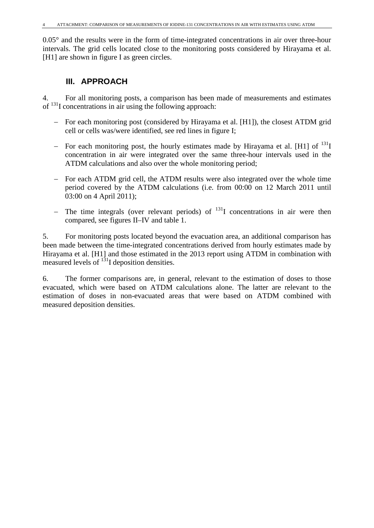<span id="page-3-0"></span>0.05° and the results were in the form of time-integrated concentrations in air over three-hour intervals. The grid cells located close to the monitoring posts considered by Hirayama et al. [H1] are shown in figure I as green circles.

### **III. APPROACH**

4. For all monitoring posts, a comparison has been made of measurements and estimates of  $^{131}$ I concentrations in air using the following approach:

- − For each monitoring post (considered by Hirayama et al. [H1]), the closest ATDM grid cell or cells was/were identified, see red lines in figure I;
- − For each monitoring post, the hourly estimates made by Hirayama et al. [H1] of 131I concentration in air were integrated over the same three-hour intervals used in the ATDM calculations and also over the whole monitoring period;
- − For each ATDM grid cell, the ATDM results were also integrated over the whole time period covered by the ATDM calculations (i.e. from 00:00 on 12 March 2011 until 03:00 on 4 April 2011);
- The time integrals (over relevant periods) of  $131$  concentrations in air were then compared, see figures II–IV and table 1.

5. For monitoring posts located beyond the evacuation area, an additional comparison has been made between the time-integrated concentrations derived from hourly estimates made by Hirayama et al. [H1] and those estimated in the 2013 report using ATDM in combination with measured levels of  $131$  deposition densities.

6. The former comparisons are, in general, relevant to the estimation of doses to those evacuated, which were based on ATDM calculations alone. The latter are relevant to the estimation of doses in non-evacuated areas that were based on ATDM combined with measured deposition densities.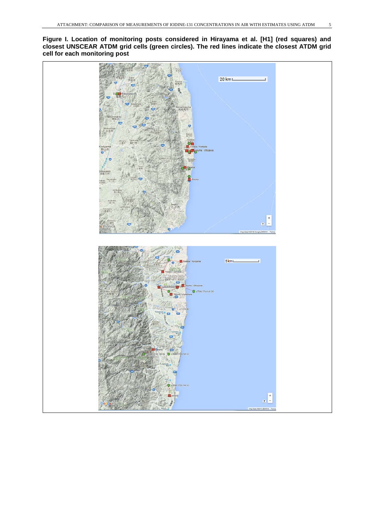**Figure I. Location of monitoring posts considered in Hirayama et al. [H1] (red squares) and closest UNSCEAR ATDM grid cells (green circles). The red lines indicate the closest ATDM grid cell for each monitoring post**

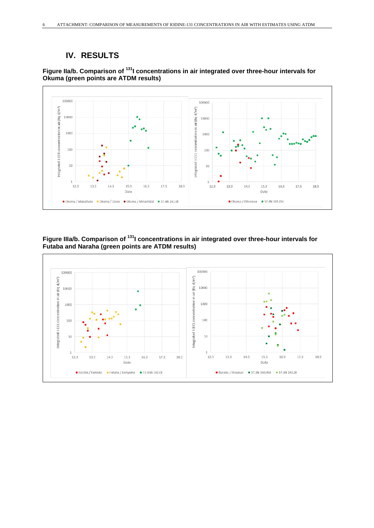## <span id="page-5-0"></span>**IV. RESULTS**



### **Figure IIa/b. Comparison of 131I concentrations in air integrated over three-hour intervals for Okuma (green points are ATDM results)**

### **Figure IIIa/b. Comparison of 131I concentrations in air integrated over three-hour intervals for Futaba and Naraha (green points are ATDM results)**

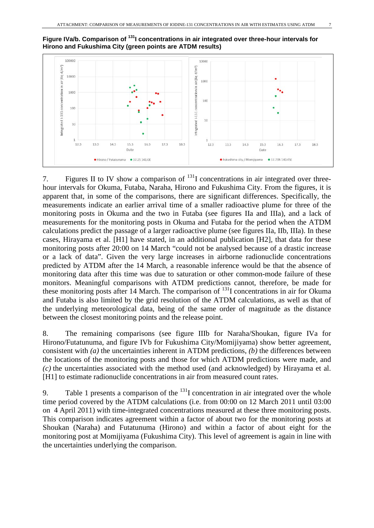

### Figure IVa/b. Comparison of <sup>131</sup>I concentrations in air integrated over three-hour intervals for **Hirono and Fukushima City (green points are ATDM results)**

7. Figures II to IV show a comparison of  $^{131}$ I concentrations in air integrated over threehour intervals for Okuma, Futaba, Naraha, Hirono and Fukushima City. From the figures, it is apparent that, in some of the comparisons, there are significant differences. Specifically, the measurements indicate an earlier arrival time of a smaller radioactive plume for three of the monitoring posts in Okuma and the two in Futaba (see figures IIa and IIIa), and a lack of measurements for the monitoring posts in Okuma and Futaba for the period when the ATDM calculations predict the passage of a larger radioactive plume (see figures IIa, IIb, IIIa). In these cases, Hirayama et al. [H1] have stated, in an additional publication [H2], that data for these monitoring posts after 20:00 on 14 March "could not be analysed because of a drastic increase or a lack of data". Given the very large increases in airborne radionuclide concentrations predicted by ATDM after the 14 March, a reasonable inference would be that the absence of monitoring data after this time was due to saturation or other common-mode failure of these monitors. Meaningful comparisons with ATDM predictions cannot, therefore, be made for these monitoring posts after 14 March. The comparison of  $^{131}$ I concentrations in air for Okuma and Futaba is also limited by the grid resolution of the ATDM calculations, as well as that of the underlying meteorological data, being of the same order of magnitude as the distance between the closest monitoring points and the release point.

8. The remaining comparisons (see figure IIIb for Naraha/Shoukan, figure IVa for Hirono/Futatunuma, and figure IVb for Fukushima City/Momijiyama) show better agreement, consistent with *(a)* the uncertainties inherent in ATDM predictions, *(b)* the differences between the locations of the monitoring posts and those for which ATDM predictions were made, and *(c)* the uncertainties associated with the method used (and acknowledged) by Hirayama et al. [H1] to estimate radionuclide concentrations in air from measured count rates.

9. Table 1 presents a comparison of the  $<sup>131</sup>I$  concentration in air integrated over the whole</sup> time period covered by the ATDM calculations (i.e. from 00:00 on 12 March 2011 until 03:00 on 4 April 2011) with time-integrated concentrations measured at these three monitoring posts. This comparison indicates agreement within a factor of about two for the monitoring posts at Shoukan (Naraha) and Futatunuma (Hirono) and within a factor of about eight for the monitoring post at Momijiyama (Fukushima City). This level of agreement is again in line with the uncertainties underlying the comparison.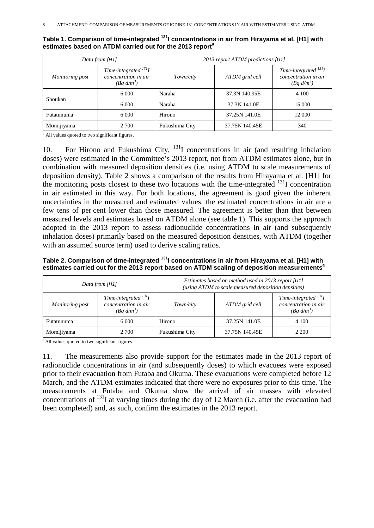|                 | Data from [H1]                                                       | 2013 report ATDM predictions [U1] |                |                                                                     |
|-----------------|----------------------------------------------------------------------|-----------------------------------|----------------|---------------------------------------------------------------------|
| Monitoring post | Time-integrated $^{131}I$<br>concentration in air<br>$(Bq \, d/m^3)$ | Town/city                         | ATDM grid cell | Time-integrated $^{131}I$<br>concentration in air<br>$(Bq \ d/m^3)$ |
| Shoukan         | 6.000                                                                | Naraha                            | 37.3N 140.95E  | 4 100                                                               |
|                 | 6.000                                                                | Naraha                            | 37.3N 141.0E   | 15 000                                                              |
| Futatunuma      | 6 0 0 0                                                              | Hirono                            | 37.25N 141.0E  | 12 000                                                              |
| Momijiyama      | 2 700                                                                | Fukushima City                    | 37.75N 140.45E | 340                                                                 |

**Table 1. Comparison of time-integrated 131I concentrations in air from Hirayama et al. [H1] with estimates based on ATDM carried out for the 2013 report***<sup>a</sup>*

*<sup>a</sup>* All values quoted to two significant figures.

10. For Hirono and Fukushima City,  $^{131}I$  concentrations in air (and resulting inhalation doses) were estimated in the Committee's 2013 report, not from ATDM estimates alone, but in combination with measured deposition densities (i.e. using ATDM to scale measurements of deposition density). Table 2 shows a comparison of the results from Hirayama et al. [H1] for the monitoring posts closest to these two locations with the time-integrated  $^{131}$ I concentration in air estimated in this way. For both locations, the agreement is good given the inherent uncertainties in the measured and estimated values: the estimated concentrations in air are a few tens of per cent lower than those measured. The agreement is better than that between measured levels and estimates based on ATDM alone (see table 1). This supports the approach adopted in the 2013 report to assess radionuclide concentrations in air (and subsequently inhalation doses) primarily based on the measured deposition densities, with ATDM (together with an assumed source term) used to derive scaling ratios.

### **Table 2. Comparison of time-integrated 131I concentrations in air from Hirayama et al. [H1] with estimates carried out for the 2013 report based on ATDM scaling of deposition measurements***<sup>a</sup>*

| Data from [H1]  |                                                                     | Estimates based on method used in 2013 report [U1]<br>(using ATDM to scale measured deposition densities) |                |                                                                     |
|-----------------|---------------------------------------------------------------------|-----------------------------------------------------------------------------------------------------------|----------------|---------------------------------------------------------------------|
| Monitoring post | Time-integrated $^{131}I$<br>concentration in air<br>$(Bq \ d/m^3)$ | Town/city                                                                                                 | ATDM grid cell | Time-integrated $^{131}I$<br>concentration in air<br>$(Bq \ d/m^3)$ |
| Futatunuma      | 6 0 0 0                                                             | Hirono                                                                                                    | 37.25N 141.0E  | 4 100                                                               |
| Momijiyama      | 2 700                                                               | Fukushima City                                                                                            | 37.75N 140.45E | 2 2 0 0                                                             |

*<sup>a</sup>* All values quoted to two significant figures.

11. The measurements also provide support for the estimates made in the 2013 report of radionuclide concentrations in air (and subsequently doses) to which evacuees were exposed prior to their evacuation from Futaba and Okuma. These evacuations were completed before 12 March, and the ATDM estimates indicated that there were no exposures prior to this time. The measurements at Futaba and Okuma show the arrival of air masses with elevated concentrations of <sup>131</sup>I at varying times during the day of 12 March (i.e. after the evacuation had been completed) and, as such, confirm the estimates in the 2013 report.